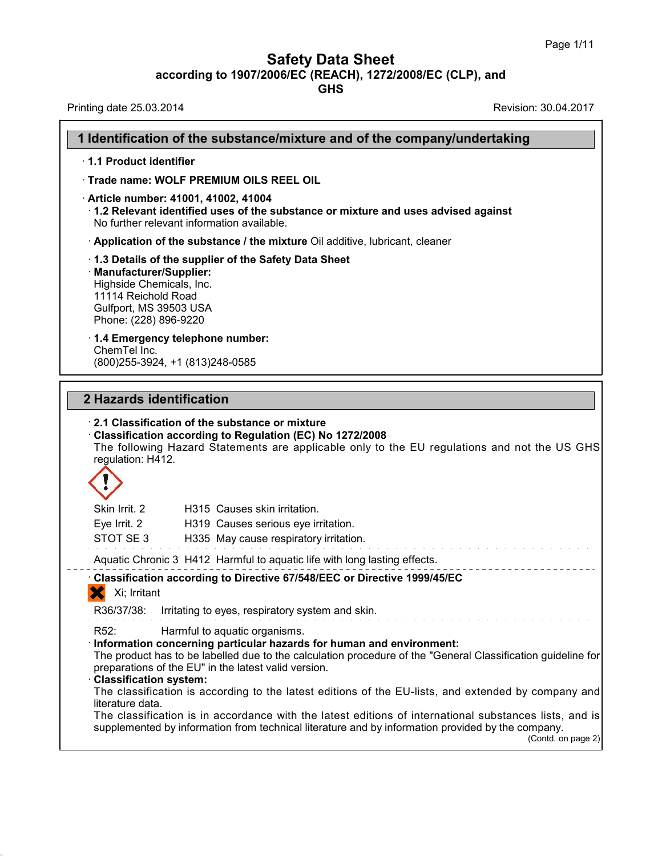**Safety Data Sheet**<br> **according to 1907/2006/EC (REACH), 1272/2008/EC (CLP), and**<br> **GHS** 

|                                                                                                                                | <b>Safety Data Sheet</b><br>according to 1907/2006/EC (REACH), 1272/2008/EC (CLP), and<br><b>GHS</b>                                                                             | Page 1/11                                                                                                                                                                                                           |
|--------------------------------------------------------------------------------------------------------------------------------|----------------------------------------------------------------------------------------------------------------------------------------------------------------------------------|---------------------------------------------------------------------------------------------------------------------------------------------------------------------------------------------------------------------|
| Printing date 25.03.2014                                                                                                       |                                                                                                                                                                                  | Revision: 30.04.2017                                                                                                                                                                                                |
|                                                                                                                                | 1 Identification of the substance/mixture and of the company/undertaking                                                                                                         |                                                                                                                                                                                                                     |
| 1.1 Product identifier                                                                                                         |                                                                                                                                                                                  |                                                                                                                                                                                                                     |
|                                                                                                                                | Trade name: WOLF PREMIUM OILS REEL OIL                                                                                                                                           |                                                                                                                                                                                                                     |
|                                                                                                                                | · Article number: 41001, 41002, 41004<br>$\cdot$ 1.2 Relevant identified uses of the substance or mixture and uses advised against<br>No further relevant information available. |                                                                                                                                                                                                                     |
|                                                                                                                                | Application of the substance / the mixture Oil additive, lubricant, cleaner                                                                                                      |                                                                                                                                                                                                                     |
| · Manufacturer/Supplier:<br>Highside Chemicals, Inc.<br>11114 Reichold Road<br>Gulfport, MS 39503 USA<br>Phone: (228) 896-9220 | 1.3 Details of the supplier of the Safety Data Sheet                                                                                                                             |                                                                                                                                                                                                                     |
| ChemTel Inc.                                                                                                                   | 1.4 Emergency telephone number:<br>(800) 255-3924, +1 (813) 248-0585                                                                                                             |                                                                                                                                                                                                                     |
| 2 Hazards identification<br>regulation: H412.                                                                                  | 2.1 Classification of the substance or mixture<br>Classification according to Regulation (EC) No 1272/2008                                                                       | The following Hazard Statements are applicable only to the EU regulations and not the US GHS                                                                                                                        |
|                                                                                                                                |                                                                                                                                                                                  |                                                                                                                                                                                                                     |
| Skin Irrit. 2<br>Eve Irrit. 2<br>STOT SE3                                                                                      | H315 Causes skin irritation.<br>H319 Causes serious eye irritation.<br>H335 May cause respiratory irritation.                                                                    |                                                                                                                                                                                                                     |
|                                                                                                                                | Aquatic Chronic 3 H412 Harmful to aquatic life with long lasting effects.                                                                                                        |                                                                                                                                                                                                                     |
| Xi; Irritant                                                                                                                   | Classification according to Directive 67/548/EEC or Directive 1999/45/EC                                                                                                         |                                                                                                                                                                                                                     |
| R36/37/38:                                                                                                                     | Irritating to eyes, respiratory system and skin.                                                                                                                                 |                                                                                                                                                                                                                     |
| R <sub>52</sub> :<br>· Classification system:<br>literature data.                                                              | Harmful to aquatic organisms.<br>· Information concerning particular hazards for human and environment:<br>preparations of the EU" in the latest valid version.                  | The product has to be labelled due to the calculation procedure of the "General Classification guideline for<br>The classification is according to the latest editions of the EU-lists, and extended by company and |
|                                                                                                                                | supplemented by information from technical literature and by information provided by the company.                                                                                | The classification is in accordance with the latest editions of international substances lists, and is<br>(Contd. on page 2)                                                                                        |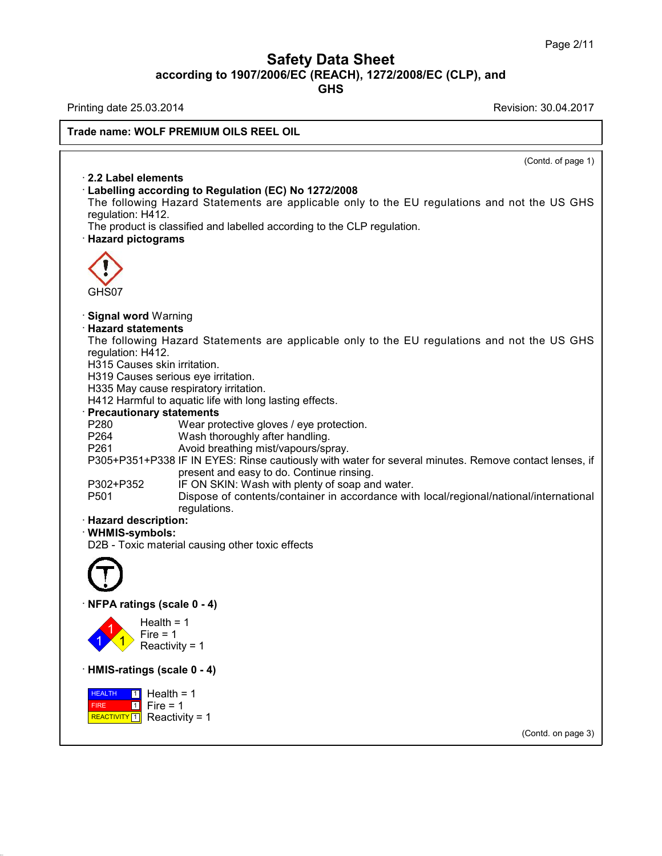# Safety Data Sheet<br><sub>006/EC (REACH), 1272/2008/EC (CLP),<br>GHS</sub> Page 2/11<br>**according to 1907/2006/EC (REACH), 1272/2008/EC (CLP), and<br>GHS<br>Revision: 30.04.2017<br>Revision: 30.04.2017 Safety Data Sheet**<br>
according to 1907/2006/EC (REACH), 1272/2008/EC (CLP), and<br>
Printing date 25.03.2014<br>
Revision: 30.04.2017<br>
Revision: 30.04.2017

**GHS**

38.0.16

## **Trade name: WOLF PREMIUM OILS REEL OIL**

 $\overline{(\text{Cond. of page 1})}$ **Example 12 Analytical State Concorder**<br>Cabelling according to Region<br>The following Hazard State **Example 1 and Solvetter PREMIUM OILS REEL OIL**<br> **E2.2 Label elements**<br> **Cabelling according to Regulation (EC) No 1272/2008**<br>
The following Hazard Statements are applicable only to the requlation: H412. 2.2 Label elements<br>
Labelling according to Regulation (EC) No 1272/2008<br>
The following Hazard Statements are applicable only to the EU regulations and not the US GHS<br>
regulation: H412.<br>
The product is classified and labell **2.2 Label elements**<br> **Cabelling according to Regulation (EC) No 1272/2008**<br>
The following Hazard Statements are applicable only to the EU regulation: H412.<br>
The product is classified and labelled according to the CLP reg The following to Regulation (EC) No 1272/2008<br>The following Hazard Statements are applicable only to the EU regulat<br>regulation: H412.<br>The product is classified and labelled according to the CLP regulation.<br>**· Hazard pictog** GHS07 **• Signal word Warning<br>• Signal word Warning<br>• Hazard statements<br>• The following Hazard Statem CHS07**<br> **Signal word Warning<br>
<b>Hazard statements**<br>
The following Hazard State<br>
requlation: H412. GHS07<br>Signal word Warning<br>Hazard statements<br>The following Hazard Statements are applicable only to the EU regulations and not the US GHS<br>regulation: H412.<br>H315 Causes skin irritation GHS07<br>**Signal word** Warning<br>**Hazard statements**<br>The following Hazard State<br>regulation: H412.<br>H315 Causes skin irritation.<br>H319 Causes serious eve irrita Signal word Warning<br>Hazard statements<br>The following Hazard Statements a<br>regulation: H412.<br>H315 Causes skin irritation.<br>H335 May cause respiratory irritation. **Signal word** Warning<br>**Hazard statements**<br>The following Hazard Statements are app<br>regulation: H412.<br>H315 Causes serious eye irritation.<br>H335 May cause respiratory irritation.<br>H412 Harmful to aquatic life with long lasting. **Hazard statements**<br>The following Hazard Statements are applic<br>regulation: H412.<br>H315 Causes skin irritation.<br>H319 Causes serious eye irritation.<br>H335 May cause respiratory irritation.<br>H412 Harmful to aquatic life with lon The following Hazard Statements are applicable only to th<br>regulation: H412.<br>H315 Causes skin irritation.<br>H319 Causes serious eye irritation.<br>H335 May cause respiratory irritation.<br>H412 Harmful to aquatic life with long las H315 Causes skin irritation.<br>
H319 Causes serious eye irritation.<br>
H335 May cause respiratory irritation.<br>
H412 Harmful to aquatic life with long lasting effects.<br> **Precautionary statements**<br>
P280 Wear protective gloves / H319 Causes serious eye irritation.<br>
H335 May cause respiratory irritation.<br>
H412 Harmful to aquatic life with long lasting effects.<br> **Precautionary statements**<br>
P260 Wear protective gloves / eye protection.<br>
P264 Wash tho H335 May cause respiratory irritation.<br>
H412 Harmful to aquatic life with long lasting effects.<br> **Precautionary statements**<br>
P260 Wear protective gloves / eye protection.<br>
P264 Wash thoroughly after handling.<br>
P261 Avoid b Partian Continue in the Matthew of Soan and water<br>
Payabota The Continue and the Wear protective gloves / eye protection.<br>
P264 Wash thoroughly after handling.<br>
P261 Avoid breathing mist/vapours/spray.<br>
P305+P351+P338 IF I tements<br>Wear protective gloves / eye protection.<br>Wash thoroughly after handling.<br>Avoid breathing mist/vapours/spray.<br>IF IN EYES: Rinse cautiously with water for several r<br>present and easy to do. Continue rinsing.<br>IF ON SKI P280 Wear protective gloves / eye protection.<br>
P264 Wash thoroughly after handling.<br>
P305+P351+P338 IF IN EYES: Rinse cautiously with water for several minutes. F<br>
present and easy to do. Continue rinsing.<br>
P302+P352 IF ON P264 Wash thoroughly after handling.<br>
P261 Avoid breathing mist/vapours/spray.<br>
P305+P351+P338 IF IN EYES: Rinse cautiously with water for several minutes. Remove contact lenses, if<br>
present and easy to do. Continue rinsin regulations. P303+P351+P338 IF IN E1<br>present<br>P302+P352 IF ON S<br>P501 Dispose<br>regulation:<br>**Hazard description:**<br>WHMIS-symbols:<br>D2B - Toxic material causin · **WHMIS-symbols:** P302+P352 IF ON SKIN: Wash with plenty of soap and<br>P501 Dispose of contents/container in accord<br>regulations.<br>**Hazard description:**<br>WHMIS-symbols:<br>D2B - Toxic material causing other toxic effects D2B - Toxic material causing other toxic efference of the Material Causing other toxic efference of the Material Street of Texas (scale 0 - 4)  $\left| \frac{1}{1} \right\rangle$  Reactivi Health =  $1$ <br>Fire =  $1$ **igs (scale 0 - 4)**<br>Health = 1<br>Fire = 1<br>Reactivity = 1 **ngs (scale 0 - 4)**<br>Health = 1<br>Fire = 1<br>Reactivity = 1 ngs (scale 0 - 4)<br>Health = 1<br>Fire = 1<br>Reactivity = 1<br>ngs (scale 0 - 4) Health = 1<br>
Fire = 1<br>
Reactivity = 1<br>
HMIS-ratings (scale 0 - 4)<br>
HEALTH 1 Health = 1 **HEALTH** 1 Hea FIRE REACTIVITY  $1$  Reactivity = 1  $1$  Fire = 1 Fire = 1<br>
Reactivity = 1<br> **ings (scale 0 - 4)**<br> **1**<br>
Fire = 1<br> **1**<br>
Reactivity = 1 teactivity = 1<br>**Is (scale 0 - 4)**<br>Health = 1<br>Fire = 1<br>Reactivity = 1 **s (scale 0 - 4)**<br>Health = 1<br>Fire = 1<br>Reactivity = 1 (Contd. on page 3)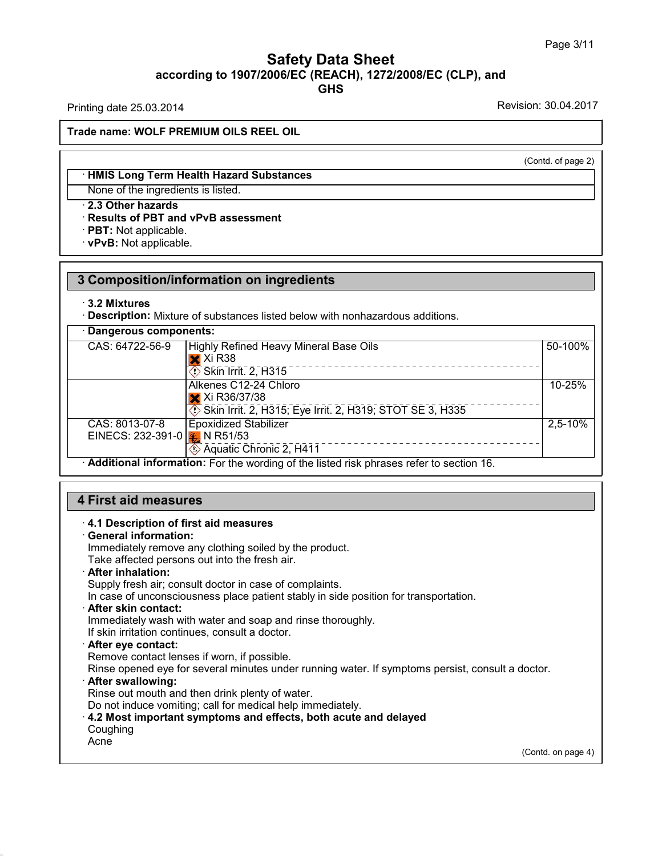## Safety Data Sheet<br><sub>006/EC (REACH), 1272/2008/EC (CLP),<br>GHS</sub> Page 3/11<br> **according to 1907/2006/EC (REACH), 1272/2008/EC (CLP), and<br>
GHS<br>
Printing date 25.03.2014<br>
Revision: 30.04.2017 GHS Safety Data Sheet**<br>according to 1907/2006/EC (REACH), 1272/2008/EC (CLP), and<br>Printing date 25.03.2014<br>Revision: 30.04.2017<br>Frade name: WOLE PREMILIM OU S REEL OU

**Trade name: WOLF PREMIUM OILS REEL OIL**

(Contd. of page 2)

## **Example 12 A WOLF PREMIUM OILS REEL OIL**<br>
• HMIS Long Term Health Hazard Substances<br>
None of the ingredients is listed. None: WOLF PREMIUM OILS REEL OIL<br>
→ HMIS Long Term Health Hazard Substance<br>
None of the ingredients is listed.<br>
→ 2.3 Other hazards<br>
→ Results of PBT and vPvB assessment<br>
→ PBT: Not applicable. **EXAMIS Long Term Health Hazard Substances**<br>None of the ingredients is listed.<br>**2.3 Other hazards<br>Results of PBT and vPvB assessment**<br>PBT: Not applicable.<br>PRT: Not applicable. • **HMIS Long Term Health Haz**<br>None of the ingredients is liste<br>• **2.3 Other hazards**<br>• **Results of PBT and vPvB as**<br>• **PBT**: Not applicable.<br>• **vPvB**: Not applicable.

# **2.3 Chief Hazards<br>
Results of PBT and vPvB assessment<br>
PBT: Not applicable.<br>
3 Composition/information on ingredients<br>
3.2 Mixtures · vPvB:** Not applicable.<br>3 Composition/information on ingredients<br>3.2 Mixtures

| Dangerous components:<br>CAS: 64722-56-9<br>50-100%<br>Highly Refined Heavy Mineral Base Oils<br>$\mathsf{\times}$ Xi R38<br>___________________________<br>$\circ$ Skin Irrit. 2, $\overline{H}3\overline{1}5$<br>Alkenes C12-24 Chloro<br>10-25%<br>X Xi R36/37/38<br>Skin Irrit. 2, H315; Eye Irrit. 2, H319; STOT SE 3, H335<br>CAS: 8013-07-8<br><b>Epoxidized Stabilizer</b><br>$2,5-10%$<br>EINECS: 232-391-0 $\frac{1}{2}$ N R51/53<br>Aquatic Chronic 2, H411<br>· Additional information: For the wording of the listed risk phrases refer to section 16. | $\cdot$ 3.2 Mixtures | Description: Mixture of substances listed below with nonhazardous additions. |  |
|---------------------------------------------------------------------------------------------------------------------------------------------------------------------------------------------------------------------------------------------------------------------------------------------------------------------------------------------------------------------------------------------------------------------------------------------------------------------------------------------------------------------------------------------------------------------|----------------------|------------------------------------------------------------------------------|--|
|                                                                                                                                                                                                                                                                                                                                                                                                                                                                                                                                                                     |                      |                                                                              |  |
|                                                                                                                                                                                                                                                                                                                                                                                                                                                                                                                                                                     |                      |                                                                              |  |
|                                                                                                                                                                                                                                                                                                                                                                                                                                                                                                                                                                     |                      |                                                                              |  |
|                                                                                                                                                                                                                                                                                                                                                                                                                                                                                                                                                                     |                      |                                                                              |  |
|                                                                                                                                                                                                                                                                                                                                                                                                                                                                                                                                                                     |                      |                                                                              |  |

# • **Additional Information:** For the wording of the<br> **4.1 Description of first aid measures**<br>
• **4.1 Description of first aid measures**<br>
• **General information:**<br>
Immediately remove any clothing soiled by the p

**First aid measures**<br> **4.1 Description of first aid**<br> **General information:**<br>
Immediately remove any clo<br>
Take affected persons out in First aid measures<br>4.1 Description of first aid measures<br>General information:<br>Immediately remove any clothing soiled by the product.<br>Take affected persons out into the fresh air.<br>After inhalation: **First aid measures**<br> **A.1 Description of first aid measures**<br> **Ceneral information:**<br>
Immediately remove any clothing soiled by the product.<br>
Take affected persons out into the fresh air.<br> **After inhalation:**<br>
Supply fres 4.1 Description of first aid measures<br>General information:<br>Immediately remove any clothing soiled by the product.<br>Take affected persons out into the fresh air.<br>After inhalation:<br>Supply fresh air; consult doctor in case of **In case of unconsciousness place by the product.**<br>
Take affected persons out into the fresh air.<br> **After inhalation:**<br>
Supply fresh air; consult doctor in case of complaints.<br>
In case of unconsciousness place patient stab

Take affected persons out into the fresh air.<br> **After inhalation:**<br>
Supply fresh air; consult doctor in case of complaints.<br>
In case of unconsciousness place patient stably in side position for the<br> **After skin contact:**<br> If Supply fresh air; consult doctor in case of complaints.<br>In case of unconsciousness place patient stably in side<br> **After skin contact:**<br>
Immediately wash with water and soap and rinse thoror<br>
If skin irritation continues

In case of unconsciousness place patient stably in sidentler skin contact:<br>
Immediately wash with water and soap and rinse tholor<br>
If skin irritation continues, consult a doctor.<br> **After eye contact:**<br>
Remove contact lense Refler skin contact:<br>
Immediately wash with water and soap and rinse thoroughly.<br>
If skin irritation continues, consult a doctor.<br> **After eye contact:**<br>
Remove contact lenses if worn, if possible.<br>
Rinse opened eye for sev If skin irritation continues, consult a doctor.<br>
After eye contact:<br>
Remove contact lenses if worn, if possible.<br>
Rinse opened eye for several minutes under running water. If symptoms persist, consult a doctor.<br>
After swal Or After eye contact:<br>
Rimove contact lenses if worn, if possible.<br>
Rinse opened eye for several minutes under running water. If symptoms persist, c<br> **After swallowing:**<br>
Rinse out mouth and then drink plenty of water.<br>
Do

Coughing

Acne

38.0.16

(Contd. on page 4)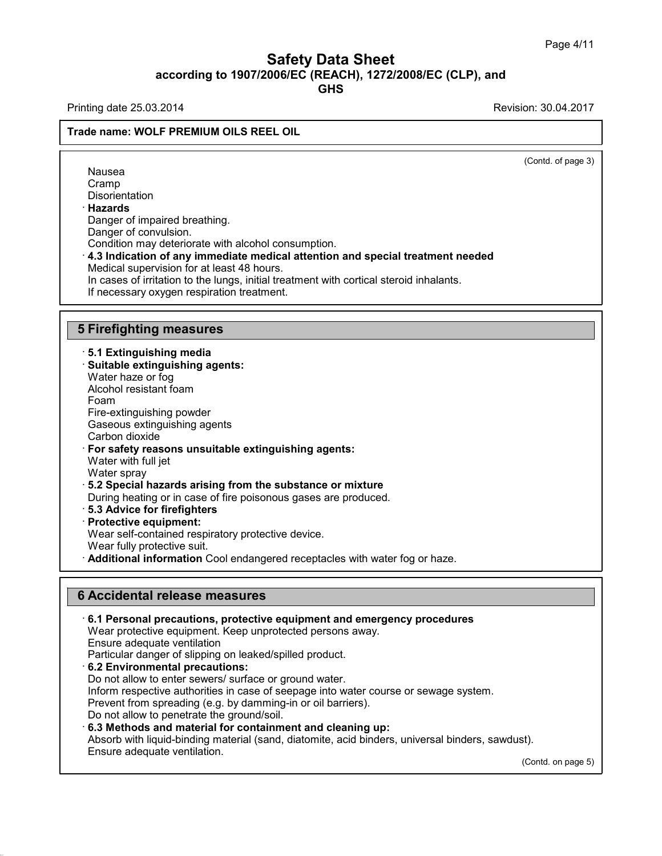# **Safety Data Sheet**<br> **according to 1907/2006/EC (REACH), 1272/2008/EC (CLP), and**<br> **GHS GHS Safety Data Sheet**<br>
according to 1907/2006/EC (REACH), 1272/2008/EC (CLP), and<br>
Printing date 25.03.2014<br>
Revision: 30.04.2017<br>
Revision: 30.04.2017

## **Trade name: WOLF PREMIUM OILS REEL OIL**

 $\overline{(\text{Cond. of page 3})}$ 

| Nausea<br>Cramp<br><b>Disorientation</b><br>· Hazards<br>Danger of impaired breathing.<br>Danger of convulsion.<br>Condition may deteriorate with alcohol consumption.<br>$\cdot$ 4.3 Indication of any immediate medical attention and special treatment needed<br>Medical supervision for at least 48 hours.<br>In cases of irritation to the lungs, initial treatment with cortical steroid inhalants.<br>If necessary oxygen respiration treatment.                                                                                                                                                                                                           | (Contd. of page |
|-------------------------------------------------------------------------------------------------------------------------------------------------------------------------------------------------------------------------------------------------------------------------------------------------------------------------------------------------------------------------------------------------------------------------------------------------------------------------------------------------------------------------------------------------------------------------------------------------------------------------------------------------------------------|-----------------|
|                                                                                                                                                                                                                                                                                                                                                                                                                                                                                                                                                                                                                                                                   |                 |
| <b>5 Firefighting measures</b>                                                                                                                                                                                                                                                                                                                                                                                                                                                                                                                                                                                                                                    |                 |
| ⋅ 5.1 Extinguishing media<br>· Suitable extinguishing agents:<br>Water haze or fog<br>Alcohol resistant foam<br>Foam<br>Fire-extinguishing powder<br>Gaseous extinguishing agents<br>Carbon dioxide<br>· For safety reasons unsuitable extinguishing agents:<br>Water with full jet<br>Water spray<br>5.2 Special hazards arising from the substance or mixture<br>During heating or in case of fire poisonous gases are produced.<br>· 5.3 Advice for firefighters<br>· Protective equipment:<br>Wear self-contained respiratory protective device.<br>Wear fully protective suit.<br>Additional information Cool endangered receptacles with water fog or haze. |                 |

- 
- 

38.0.16

Frotective equipment:<br>
Wear self-contained respiratory protective device<br>
Wear fully protective suit.<br> **Additional information** Cool endangered recept<br> **6 Accidental release measures**<br>
6.1 Personal precautions, protective • **Additional Information** Cool endangered receptacies with water fog or haze.<br> **• Accidental release measures**<br>
• **6.1 Personal precautions, protective equipment and emergency procedures**<br>
Wear protective equipment. Keep **Accidental release measures<br>6.1 Personal precautions, protective equipment and emergency proce**<br>Wear protective equipment. Keep unprotected persons away.<br>Ensure adequate ventilation<br>Particular danger of slipping on leaked 6 Accidental release measures<br>
6.1 Personal precautions, protective equipment and emer<br>
Wear protective equipment. Keep unprotected persons away.<br>
Ensure adequate ventilation<br>
Particular danger of slipping on leaked/spille **Example 19 Accidental release measures**<br> **EXECT: CAT Personal precautions, protective equipment and emerger**<br>
Wear protective equipment. Keep unprotected persons away.<br>
Ensure adequate ventilation<br>
Particular danger of Particular danger of slipping on leaked/spilled product.<br>6.2 Environmental precautions:<br>Do not allow to enter sewers/ surface or ground water. Inform respective authorities in case of seepage into water course or sewage system.<br>Prevent from spreading (e.g. by damming-in or oil barriers).<br>Do not allow to penetrate the ground/soil. Ensure adequate ventilation<br>Particular danger of slipping on leaked/spilled product.<br>6.2 Environmental precautions:<br>Do not allow to enter sewers/ surface or ground water.<br>Inform respective authorities in case of seepage in Particular danger of slipping on leaked/spilled product.<br> **6.2 Environmental precautions:**<br>
Do not allow to enter sewers/ surface or ground water.<br>
Inform respective authorities in case of seepage into water course or sewa Do not allow to enter sewers/ surface or ground water.<br>Inform respective authorities in case of seepage into water course or sewage system.<br>Prevent from spreading (e.g. by damming-in or oil barriers).<br>Do not allow to penet Inform respective authorities in case<br>Prevent from spreading (e.g. by dam<br>Do not allow to penetrate the ground.<br>**6.3 Methods and material for conta**<br>Absorb with liquid-binding material (s<br>Ensure adequate ventilation.  $(t)$ .<br>(Contd. on page 5)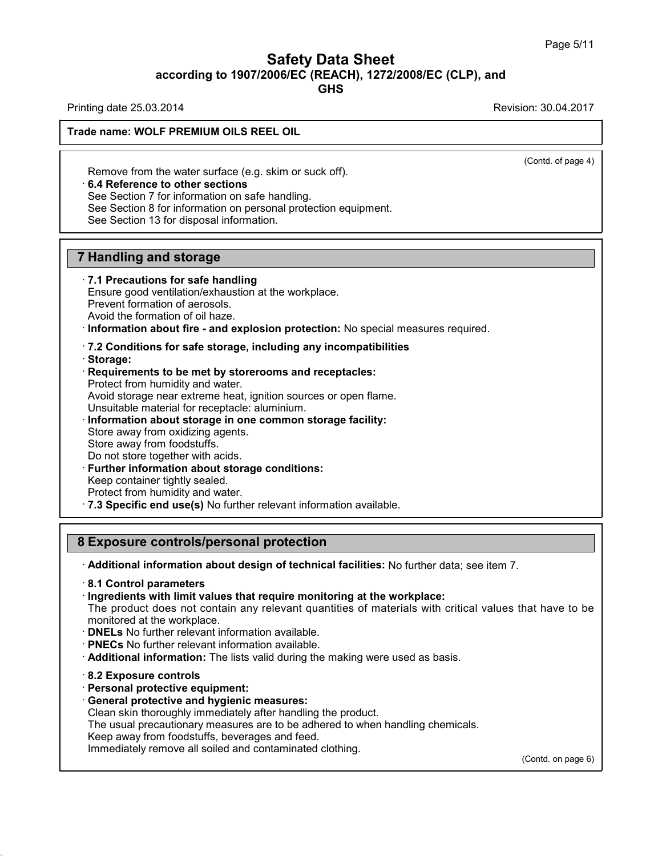# Safety Data Sheet<br><sub>006/EC (REACH), 1272/2008/EC (CLP),<br>GHS</sub> Page 5/11<br>**according to 1907/2006/EC (REACH), 1272/2008/EC (CLP), and<br>GHS<br>Revision: 30.04.2017<br>Revision: 30.04.2017 Safety Data Sheet**<br>
according to 1907/2006/EC (REACH), 1272/2008/EC (CLP), and<br>
Printing date 25.03.2014<br>
Revision: 30.04.2017<br>
Revision: 30.04.2017

**GHS**

 $\overline{(\text{Cond. of page 4})}$ 

## **Trade name: WOLF PREMIUM OILS REEL OIL**

Remove from the water surface (e.g. skim or suck off).<br>Remove from the water surface (e.g. skim or suck off).<br>• **6.4 Reference to other sections**<br>See Section 7 for information on safe handling.<br>See Section 8 for informatio Fremove from the water surface (e.g. skim or suck off).<br>
See Section 7 for information on safe handling.<br>
See Section 7 for information on safe handling.<br>
See Section 8 for information on personal protection equines Remove from the water surface (e.g. skim or so<br>
6.4 Reference to other sections<br>
See Section 7 for information on safe handling.<br>
See Section 8 for information on personal prote<br>
See Section 13 for disposal information.

**6.4 Reference to other sections**<br>See Section 7 for information on safe handling.<br>See Section 8 for information on personal protection equipment.<br>See Section 13 for disposal information.

**6.4 Reference to other sections**<br>
See Section 7 for information on safe has<br>
See Section 8 for information on personal<br>
See Section 13 for disposal information.<br> **7 Handling and storage**<br> **7.1 Precautions for safe handlin** 

See Section 13 for disposal information.<br> **7.1 Precautions for safe handling**<br> **7.1 Precautions for safe handling**<br>
Ensure good ventilation/exhaustion at the wor<br>
Prevent formation of aerosols. **Handling and storage<br>T.1 Precautions for safe handling<br>Ensure good ventilation/exhaustion at the workplace.<br>Prevent formation of aerosols.<br>Avoid the formation of oil haze. Handling and storage**<br> **7.1 Precautions for safe handling**<br>
Ensure good ventilation/exhaustion at th<br>
Prevent formation of aerosols.<br>
Avoid the formation of oil haze.<br>
Information about fire - and explosion

**Provided the formation of oil haze.**<br> **Provent formation of aerosols.**<br> **Prevent formation of aerosols.**<br> **Avoid the formation of oil haze.**<br> **Provent formation about fire - and explosion protection:** No special measures

- 
- · **Storage:** Avoid the formation of oil haze.<br> **Consider information about fire - and explosion protection:** No special m<br> **Requirements to be met by storerooms and receptacles:**<br> **Requirements to be met by storerooms and receptacles:**

Information about fire - and explosion prot<br>7.2 Conditions for safe storage, including<br>Storage:<br>Requirements to be met by storerooms an<br>Protect from humidity and water.<br>Avoid storage near extreme heat, ignition sou T.2 Conditions for safe storage, including any incompatibilities<br>Storage:<br>Requirements to be met by storerooms and receptacles:<br>Protect from humidity and water.<br>Avoid storage near extreme heat, ignition sources or open fla T.2 Conditions for safe storage, including any incompatibilities<br>
Storage:<br>
Protect from humidity and water.<br>
Protect from humidity and water.<br>
Avoid storage near extreme heat, ignition sources or open flame.<br>
Unsuitable m Requirements to be met by storerooms an<br>Protect from humidity and water.<br>Avoid storage near extreme heat, ignition sou<br>Unsuitable material for receptacle: aluminium<br>Information about storage in one common<br>Store away from o Protect from humidity and water.<br>Avoid storage near extreme heat, ig<br>Unsuitable material for receptacle: a<br>**Information about storage in one**<br>Store away from oxidizing agents.<br>Store away from foodstuffs.<br>Do not store toget Avoid storage near extreme heat, ignition sources or ope<br>Unsuitable material for receptacle: aluminium.<br> **Information about storage in one common storage f**<br>
Store away from oxidizing agents.<br>
Store away from foodstuffs.<br>

- 
- 
- 

- 
- 

Information about storage in one common storage facility:<br>
Store away from oxidizing agents.<br>
Store away from foodstuffs.<br>
Do not store together with acids.<br>
Further information about storage conditions:<br>
Keep container ti Store away from oxidizing agents.<br>
Store away from foodstuffs.<br>
Do not store together with acids.<br> **Further information about storage conditions:**<br>
Keep container tightly sealed.<br>
Protect from humidity and water.<br> **7.3 Spe** Further information about storage conditions:<br>
Keep container tightly sealed.<br>
Protect from humidity and water.<br> **8 Exposure controls/personal protection**<br> **8 Exposure controls/personal protection**<br> **Additional information** 

· **Additional information about design of technical facilities:** No further data; see item 7. · **8.1 Control parameters**

**Exposure controls/personal protection**<br>
• **Additional information about design of technical facilities:** No further data; se<br>
• **8.1 Control parameters**<br>
• **Ingredients with limit values that require monitoring at the wor** The product does not contain any relevant quantities: No further data; see item 7.<br>
S.1 Control parameters<br>
Ingredients with limit values that require monitoring at the workplace:<br>
The product does not contain any relevant Followial information about design of technical facilities: No further data; see item 7.<br> **8.1 Control parameters**<br>
Fingredients with limit values that require monitoring at the workplace:<br>
The product does not contain an

- 
- 
- **DNELs** No further relevant information a<br>• **PNECs** No further relevant information a<br>• **Additional information:** The lists valid c<br>• **8.2 Exposure controls**<br>• **Personal protective equipment:**<br>• **General protective and h** • **PNECs** No further relevant information available.<br>• **Additional information:** The lists valid during the ma<br>• 8.2 **Exposure controls**<br>• **Personal protective equipment:**<br>• **General protective and hygienic measures:**<br>• Cl Additional information: The lists valid during the making were used as<br>
8.2 Exposure controls<br>
Personal protective equipment:<br>
General protective and hygienic measures:<br>
Clean skin thoroughly immediately after handling the
- 

38.0.16

- 
- 

The usual protective equipment:<br> **S.2 Exposure controls**<br> **Personal protective equipment:**<br> **General protective and hygienic measures:**<br>
Clean skin thoroughly immediately after handling the product.<br>
The usual precautionar 8.2 Exposure controls<br>Personal protective equipment:<br>General protective and hygienic measures:<br>Clean skin thoroughly immediately after handling the product.<br>The usual precautionary measures are to be adhered to when<br>Keep a **Personal protective equipment:**<br> **General protective and hygienic measures:**<br>
Clean skin thoroughly immediately after handling the product.<br>
The usual precautionary measures are to be adhered to when handl<br>
Keep away from

(Contd. on page 6)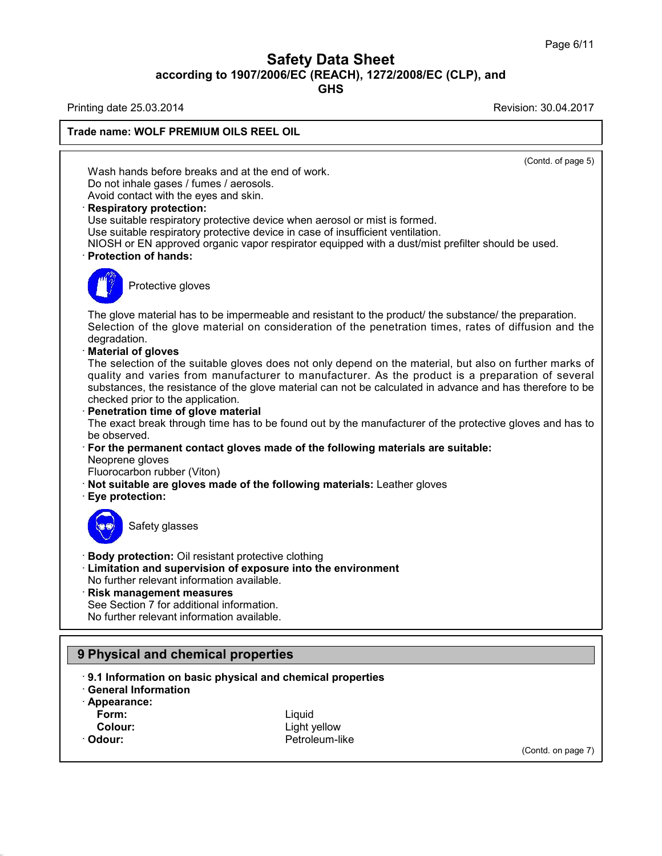# Safety Data Sheet<br><sub>006/EC (REACH), 1272/2008/EC (CLP),<br>GHS</sub> Page 6/11<br>**according to 1907/2006/EC (REACH), 1272/2008/EC (CLP), and<br>GHS<br>Revision: 30.04.2017<br>Revision: 30.04.2017**

**GHS**

38.0.16

## **Safety Data Sheet**<br>
according to 1907/2006/EC (REACH), 1272/2008/EC (CLP), and<br>
Printing date 25.03.2014<br>
Revision: 30.04.2017<br>
Revision: 30.04.2017 **Trade name: WOLF PREMIUM OILS REEL OIL**  $\overline{(\text{Cond. of page 5})}$ Ing date 23.03.2014<br>
Me name: WOLF PREMIUM OILS REEL OIL<br>
Wash hands before breaks and at the end of work.<br>
Do not inhale gases / fumes / aerosols.<br>
Avoid contact with the eves and skin. Wash hands before breaks and at the end of work.<br>Do not inhale gases / fumes / aerosols.<br>Avoid contact with the eyes and skin.<br>Respiratory protection: Wash hands before breaks and at the end of work.<br>Do not inhale gases / fumes / aerosols.<br>Avoid contact with the eyes and skin.<br>**· Respiratory protection:**<br>Use suitable respiratory protective device when aer<br>Use suitable re Wash hands before breaks and at the end of work.<br>Do not inhale gases / fumes / aerosols.<br>Avoid contact with the eyes and skin.<br>**Respiratory protection:**<br>Use suitable respiratory protective device when aerosol or mist is fo Use suitable respiratory protective device when aerosol or mist is formed.<br>Use suitable respiratory protective device in case of insufficient ventilation.<br>NIOSH or EN approved organic vapor respirator equipped with a dust/ Do not inhale gases / fumes / aerosols.<br>
Avoid contact with the eyes and skin.<br> **Respiratory protection:**<br>
Use suitable respiratory protective device when aerosol or mist is formed.<br>
Use suitable respiratory protective dev Solid Tespiratory protective developeration protective developeration of hands:<br>Protective gloves Protection of hands:<br>The glove material has to be impermeable and resistant to the product/ the substance/ the preparation.<br>Selection of the glove material on consideration of the penetration times, rates of diffusion and Figure 2013<br>Selection of the glove material has to be impermeable and resistant to the product/ the substance/ the preparation.<br>Selection of the glove material on consideration of the penetration times, rates of diffusion degradation.<br>**Material of gloves** The glove material has to be in<br>Selection of the glove materi<br>degradation.<br>**Material of gloves**<br>The selection of the suitable g<br>quality and varies from man The glove material has to be impermeable and resistant to the product/ the substance/ the preparation.<br>Selection of the glove material on consideration of the penetration times, rates of diffusion and the degradation.<br>**Mat** The glove material has to be impermeable and resistant to the product/ the substance/ the preparation.<br>Selection of the glove material on consideration of the penetration times, rates of diffusion and the degradation.<br>**Mat** Selection of the glove material on consideration of the penetration times, rates of diffusion and the<br>degradation.<br>**Material of gloves**<br>The selection of the suitable gloves does not only depend on the material, but also on degradation.<br> **Material of gloves**<br>
The selection of the suitable gloves does not<br>
quality and varies from manufacturer to material<br>
substances, the resistance of the glove material<br> **Conservedity**<br> **Penetration time of gl** The selection of the suitable gloves does not only depend on the material, but also on further marks of<br>quality and varies from manufacturer to manufacturer. As the product is a preparation of several<br>substances, the resis substances, the resistance of the glove material can not be calculated in advance and has therefore to be checked prior to the application.<br> **Penetration time of glove material**<br>
The exact break through time has to be foun · Penetration time of glove material The exact break through time has to be found out by the manufacturer of the protective gloves and has to<br>be observed.<br>
For the permanent contact gloves made of the following materials are suitable:<br>
Neoprene gloves<br>
Fluoro For the permanent contact gloves made of the following materials are suitable: For the permanent com<br>
Neoprene gloves<br>
Fluorocarbon rubber (V<br> **Not suitable are glove**<br> **Eye protection:** b giveon rubber (Viton)<br>able are gloves made of<br>tection:<br>Safety glasses **Example 15 September 10 State of September 2015**<br> **Body protection:** Oil resistant protective clothing<br> **Example 2015**<br> **Example 2015**<br>
No further relevant information available. **Example 3**<br> **Example 3**<br> **Example 3**<br> **Example 3**<br> **Limitation and supervision of exposure into the environment<br>
No further relevant information available.<br>
<b>Risk management measures** Safety glasses<br>
• **Body protection:** Oil resistant protective clothing<br>
• **Limitation and supervision of exposure into th**<br>
• **Risk management measures**<br>
• See Section 7 for additional information.<br>
• No further relevant i Body protection: Oil resistant protective clothi<br>Limitation and supervision of exposure into<br>No further relevant information available.<br>Risk management measures<br>See Section 7 for additional information.<br>No further relevant Body protection: Oil resistant protective clothing<br>Limitation and supervision of exposure into th<br>No further relevant information available.<br>Risk management measures<br>See Section 7 for additional information.<br>No further rel No luttiler relevant information available.<br> **Prince See Section 7 for additional information.**<br>
No further relevant information available.<br> **9 Physical and chemical properties**<br> **9.1 Information on basic physical and chem Physical and chemical properties**<br> **9.1 Information on basic physical and chemical properties**<br> **• 9.1 Information on basic physical and chemical properties**<br>
• Appearance: **9 Physical and chemical properties**<br> **9.1 Information on basic physical and chiral Information**<br> **Appearance:**<br> **Form:** · **Appearance: Form:** Liquid **1 Information on basic physical and chemical properties<br>
eneral Information<br>
ppearance:<br>
Form:<br>
Colour:**<br>
Colour:<br>
Colour:<br>
Cetroleum-like<br>
Cetroleum-like · Odour: **Petroleum-like** (Contd. on page 7)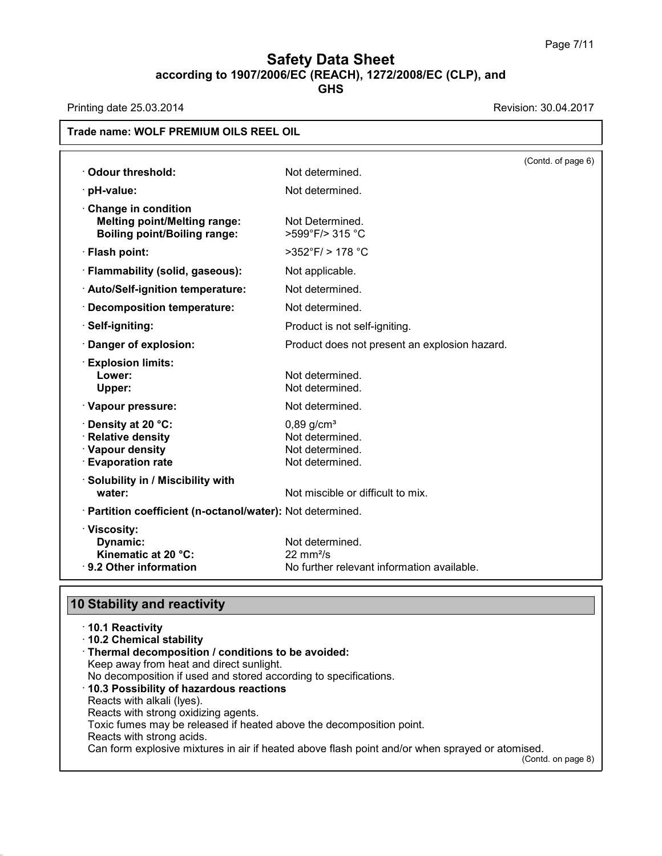# **Safety Data Sheet**<br> **according to 1907/2006/EC (REACH), 1272/2008/EC (CLP), and**<br> **GHS Safety Data Sheet**<br>
according to 1907/2006/EC (REACH), 1272/2008/EC (CLP), and<br>
Printing date 25.03.2014<br>
Revision: 30.04.2017<br>
Revision: 30.04.2017

**GHS**

| · Odour threshold:                                                                                | Not determined.                                                                             | (Contd. of page 6) |
|---------------------------------------------------------------------------------------------------|---------------------------------------------------------------------------------------------|--------------------|
| · pH-value:                                                                                       | Not determined.                                                                             |                    |
| Change in condition<br><b>Melting point/Melting range:</b><br><b>Boiling point/Boiling range:</b> | Not Determined.<br>>599°F/> 315 °C                                                          |                    |
| · Flash point:                                                                                    | $>352^{\circ}$ F/ $> 178^{\circ}$ C                                                         |                    |
| · Flammability (solid, gaseous):                                                                  | Not applicable.                                                                             |                    |
| · Auto/Self-ignition temperature:                                                                 | Not determined.                                                                             |                    |
| · Decomposition temperature:                                                                      | Not determined.                                                                             |                    |
| · Self-igniting:                                                                                  | Product is not self-igniting.                                                               |                    |
| Danger of explosion:                                                                              | Product does not present an explosion hazard.                                               |                    |
| <b>Explosion limits:</b><br>Lower:<br>Upper:                                                      | Not determined.<br>Not determined.                                                          |                    |
| · Vapour pressure:                                                                                | Not determined.                                                                             |                    |
| · Density at 20 °C:<br>· Relative density<br>· Vapour density<br>· Evaporation rate               | $0,89$ g/cm <sup>3</sup><br>Not determined.<br>Not determined.<br>Not determined.           |                    |
| · Solubility in / Miscibility with<br>water:                                                      | Not miscible or difficult to mix.                                                           |                    |
| · Partition coefficient (n-octanol/water): Not determined.                                        |                                                                                             |                    |
| · Viscosity:<br>Dynamic:<br>Kinematic at 20 °C:<br>· 9.2 Other information                        | Not determined.<br>$22 \text{ mm}^2/\text{s}$<br>No further relevant information available. |                    |

| 9.2 Other Information                                            | <u>ino iuriner reievant information available.</u>                                              |
|------------------------------------------------------------------|-------------------------------------------------------------------------------------------------|
| <b>10 Stability and reactivity</b>                               |                                                                                                 |
| ⋅10.1 Reactivity                                                 |                                                                                                 |
| 10.2 Chemical stability                                          |                                                                                                 |
| · Thermal decomposition / conditions to be avoided:              |                                                                                                 |
| Keep away from heat and direct sunlight.                         |                                                                                                 |
| No decomposition if used and stored according to specifications. |                                                                                                 |
| 10.3 Possibility of hazardous reactions                          |                                                                                                 |
| Reacts with alkali (Iyes).                                       |                                                                                                 |
| Reacts with strong oxidizing agents.                             |                                                                                                 |
|                                                                  | Toxic fumes may be released if heated above the decomposition point.                            |
| Reacts with strong acids.                                        |                                                                                                 |
|                                                                  | Can form explosive mixtures in air if heated above flash point and/or when sprayed or atomised. |
|                                                                  | (Contd. on page 8)                                                                              |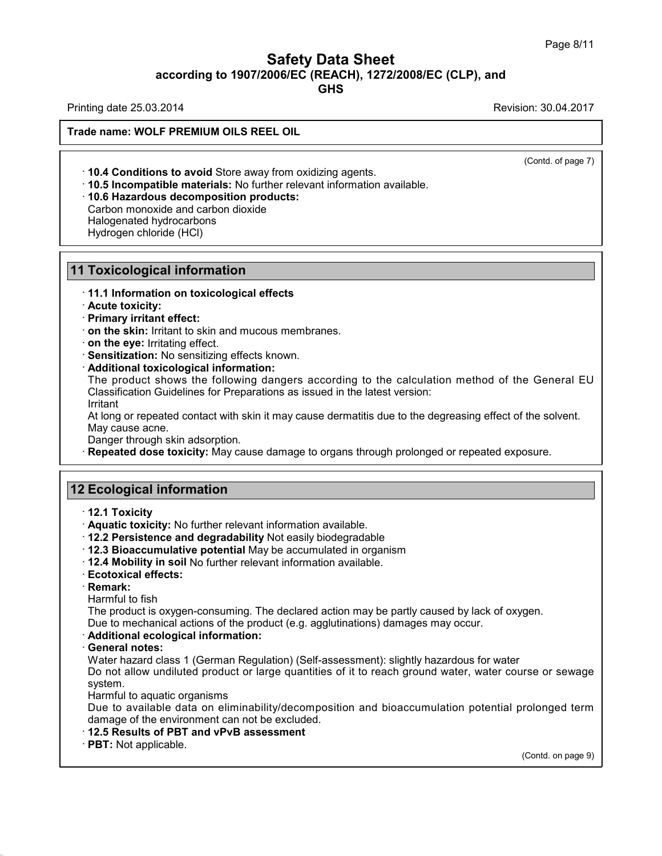# Safety Data Sheet<br><sub>006/EC (REACH), 1272/2008/EC (CLP),<br>GHS</sub> Page 8/11<br>**according to 1907/2006/EC (REACH), 1272/2008/EC (CLP), and<br>GHS<br>Revision: 30.04.2017<br>Revision: 30.04.2017 Safety Data Sheet**<br>
according to 1907/2006/EC (REACH), 1272/2008/EC (CLP), and<br>
Printing date 25.03.2014<br>
Revision: 30.04.2017<br>
Revision: 30.04.2017

**GHS**

**Trade name: WOLF PREMIUM OILS REEL OIL**

 $\overline{(\text{Cond. of page 7})}$ 

**10.4 Conditions to avoid Store away from oxidizing agents.**<br>• **10.4 Conditions to avoid Store away from oxidizing agents.**<br>• **10.5 Incompatible materials:** No further relevant information available.<br>• **10.6 Hazardous dec 10.4 Conditions to avoid** Store away from oxidiz<br>**10.5 Incompatible materials:** No further relevant<br>**10.6 Hazardous decomposition products:**<br>Carbon monoxide and carbon dioxide<br>Halogenated hydrocarbons<br>Hydrogen chloride (H **10.4 Conditions to avoid** Store aw<br>**10.5 Incompatible materials:** No f<br>**10.6 Hazardous decomposition p**<br>Carbon monoxide and carbon dioxic<br>Halogenated hydrocarbons<br>Hydrogen chloride (HCl) **10.4 Conditions to avoid** Store away<br>**10.5 Incompatible materials:** No furt<br>**10.6 Hazardous decomposition pro**<br>Carbon monoxide and carbon dioxide<br>Halogenated hydrocarbons<br>Hydrogen chloride (HCl)

## **Foxicological inform**<br>• 11.1 Information on toxi<br>• Acute toxicity:<br>• Primary irritant effect:<br>• on the skin: Irritant to ski **Foxicological information**<br>• 11.1 Information on toxicological<br>• Acute toxicity:<br>• Primary irritant effect:<br>• on the skin: Irritant to skin and mud<br>• on the eve: Irritating effect.

**10.6 Hazardous decomposition products:**<br>Carbon monoxide and carbon dioxide<br>Halogenated hydrocarbons<br>Hydrogen chloride (HCl)<br>**11 Toxicological information**<br>11.1 Information on toxicological effects **11.1 Toxicological information<br>11.1 Information on toxicological effects**<br>11.1 Information on toxicological effects<br>1. Primary irritant effect:

**Proxicological information**<br> **Contract to skin:** Irritant to skin and mucous membranes.<br> **Contract to skin:** Irritant to skin and mucous membranes.<br> **Contract to skin:** Irritating effect.<br> **Contract Sensitization:** No sen **Primary irritant effect:**<br> **on the skin**: Irritant to skin and mucous membranes.<br> **On the eye:** Irritating effect.<br> **Sensitization:** No sensitizing effects known.<br> **Additional toxicological information:**<br>
The product show on the skin: Irritant to skin and mucous membranes.<br>
on the eye: Irritating effect.<br>
Sensitization: No sensitizing effects known.<br>
Additional toxicological information:<br>
The product shows the following dangers according to Sensitization: No sensitizing effects known.<br>Additional toxicological information:<br>The product shows the following dangers according to the calculation method of the General EU<br>Classification Guidelines for Preparations as Additional toxicological info<br>The product shows the follo<br>Classification Guidelines for Pi<br>Irritant<br>At long or repeated contact wit<br>May cause acne.<br>Danger through skin adsorptio<br>Repeated dose toxicity: May The product shows the following dangers according to the calculation method of the General EU<br>Classification Guidelines for Preparations as issued in the latest version:<br>Irritant<br>At long or repeated contact with skin it ma

Irritant

At long or repeated contact with skin it maid<br>
May cause acne.<br>
Danger through skin adsorption.<br> **12 Ecological information**<br> **12.1 Toxicity** 

**Repeated dose toxicity:** May cause damage to organs through prolonged or repeated exposure.<br> **12.1 Toxicity**<br> **12.1 Toxicity**<br> **12.1 Toxicity:** No further relevant information available.<br> **12.2 Persistence and degradabili** 

- 
- 

- **Ecological information**<br>
 **12.1 Toxicity**<br>
 **Aquatic toxicity:** No further relevant information available.<br>
 **12.2 Persistence and degradability** Not easily biodegradable<br>
 **12.4 Mobility in soil No further relevant 2 Ecological information**<br>
↑ 12.1 Toxicity<br>
↑ Aquatic toxicity: No further relevant information available.<br>
↑ 12.2 Persistence and degradability Not easily biodegradable<br>
↑ 12.3 Bioaccumulative potential May be accumulat **12.1 Toxicity**<br> **• Aquatic toxicity:** No further relevant information available.<br> **• 12.2 Persistence and degradability** Not easily biodegradable<br> **• 12.3 Bioaccumulative potential** May be accumulated in organism<br>
• **12.4**
- 
- 

· **Remark:**

<ul>\n<li>12.3 Bioaccumulative potential May be accumulated in organism</li>\n<li>12.4 Mobility in soil No further relevant information available.</li>\n<li>Ecotoxical effects:</li>\n<li>Remark:</li>\n<li>Hamark:</li>\n<li>Harmful to fish</li>\n<li>The product is oxygen-consuming. The declared action may be partly caused by lac Due to mechanical actions of the product (e.g. agglutinations) damages may occur.</li>\n</ul> The product is oxygen-consuming. The declared action may be partly caused by lack of oxygen.<br>Due to mechanical actions of the product (e.g. agglutinations) damages may occur.<br>
Additional ecological information: **Exercise to mechanical actions of the product information available.**<br> **Ecotoxical effects:**<br> **Remark:**<br>
Harmful to fish<br>
The product is oxygen-consuming. The declared action may be partly caused by lack of oxygen.<br>
Due

• **Remark:**<br> **Harmful to fish**<br> **The product is oxygen-cons**<br> **Due to mechanical actions c**<br> **Additional ecological information**<br> **General notes:**<br>
Water hazard class 1 (Germ<br>
Do not allow undiluted prod Harmful to fish<br>The product is oxygen-consuming. The declared action may be partly caused by lack of oxygen.<br>Due to mechanical actions of the product (e.g. agglutinations) damages may occur.<br>**Additional ecological informat** The product is oxygen-consuming. The declared action may be partly caused by lack of oxygen.<br>Due to mechanical actions of the product (e.g. agglutinations) damages may occur.<br>**Additional ecological information:**<br>**General n** system. Additional ecological information:<br>General notes:<br>Water hazard class 1 (German Regula<br>Do not allow undiluted product or lar<br>system.<br>Harmful to aquatic organisms<br>Due to available data on eliminabili<br>damage of the environmen General notes:<br>Water hazard class 1 (German Regulation) (Self-assessment): slightly hazardous for water<br>Do not allow undiluted product or large quantities of it to reach ground water, water course or sewage<br>system.<br>Harmful Water hazard class 1 (German Regulation) (Self-assessm<br>Do not allow undiluted product or large quantities of it to<br>system.<br>Harmful to aquatic organisms<br>Due to available data on eliminability/decomposition a<br>damage of the e

Harmful to aquatic organisms<br>Due to available data on eliminability/decomposition and bioaccumulation potential prolonged term<br>damage of the environment can not be excluded.<br>**12.5 Results of PBT and vPvB assessment**<br>**PBT:** rolonged term<br>(Contd. on page 9)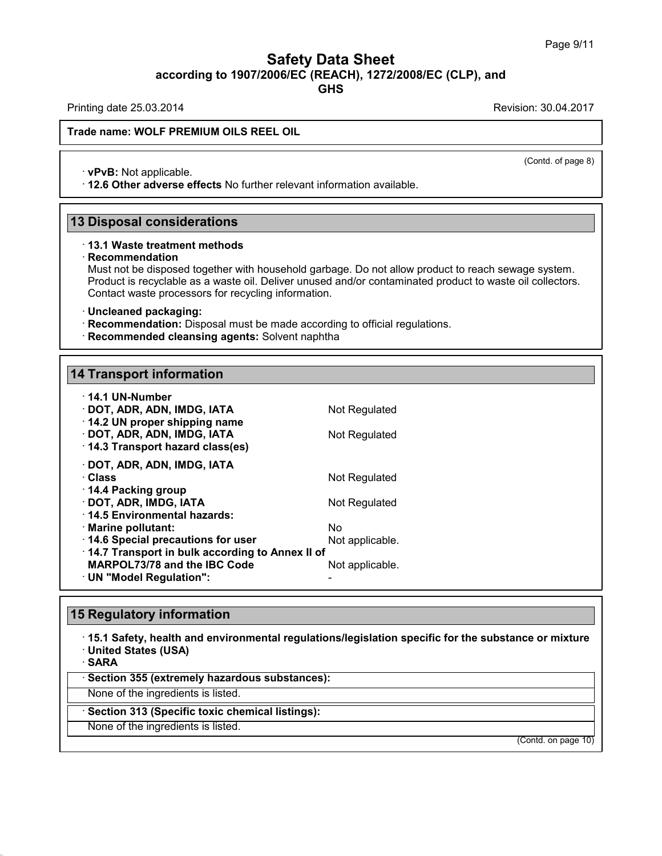# Safety Data Sheet<br><sub>006/EC (REACH), 1272/2008/EC (CLP),<br>GHS</sub> Page 9/11<br>**according to 1907/2006/EC (REACH), 1272/2008/EC (CLP), and<br>GHS<br>Revision: 30.04.2017<br>Revision: 30.04.2017 Safety Data Sheet**<br>
according to 1907/2006/EC (REACH), 1272/2008/EC (CLP), and<br>
Printing date 25.03.2014<br>
Revision: 30.04.2017<br>
Revision: 30.04.2017

**GHS**

 $\overline{(\text{Cond. of page 8})}$ 

## **Trade name: WOLF PREMIUM OILS REEL OIL**

• **vPvB:** Not applicable.<br>• **vPvB:** Not applicable.<br>• 12.6 Other adverse effects No further relevant information available. **12.6 Other adverse effects** No further relevant information available.<br>
13 Disposal considerations<br>
13 Disposal considerations<br>
13.1 Waste treatment methods

## · **Recommendation**

Must not be disposed together with household garbage. Do not allow product to reach sewage system. **Disposal considerations**<br>13.1 Waste treatment methods<br>Recommendation<br>Must not be disposed together with household garbage. Do not allow product to reach sewage system.<br>Product is recyclable as a waste oil. Deliver unused **Disposal considerations**<br>13.1 Waste treatment methods<br>Recommendation<br>Must not be disposed together with household garbage. Do not allow product to reach sewage system.<br>Product is recyclable as a waste oil. Deliver unused **13.1 Waste treatment methods**<br> **Recommendation**<br>
Must not be disposed together with household garbage. Do<br>
Product is recyclable as a waste oil. Deliver unused and/or<br>
Contact waste processors for recycling information.<br> • **Recommendation:** Disposed together with household garbage. Do not allow product to reader Product is recyclable as a waste oil. Deliver unused and/or contaminated product to Contact waste processors for recycling inform

- 
- **Recommended cleansing agents:** Solvent naphtha<br>14 Transport information

| · Uncleaned packaging:<br>· Recommendation: Disposal must be made according to official regulation<br>· Recommended cleansing agents: Solvent naphtha |                       |
|-------------------------------------------------------------------------------------------------------------------------------------------------------|-----------------------|
| <b>14 Transport information</b>                                                                                                                       |                       |
|                                                                                                                                                       |                       |
| · 14.1 UN-Number<br>· DOT, ADR, ADN, IMDG, IATA<br>14.2 UN proper shipping name                                                                       | Not Regulated         |
| · DOT, ADR, ADN, IMDG, IATA<br>14.3 Transport hazard class(es)                                                                                        | Not Regulated         |
| · DOT, ADR, ADN, IMDG, IATA<br>· Class                                                                                                                | Not Regulated         |
| ⋅ 14.4 Packing group<br>· DOT, ADR, IMDG, IATA<br>⋅14.5 Environmental hazards:                                                                        | Not Regulated         |
| · Marine pollutant:<br>14.6 Special precautions for user                                                                                              | Nο<br>Not applicable. |
| 14.7 Transport in bulk according to Annex II of<br>MARPOL73/78 and the IBC Code<br>· UN "Model Regulation":                                           | Not applicable.       |
|                                                                                                                                                       |                       |
| <b>15 Regulatory information</b>                                                                                                                      |                       |
| 15.1 Safety, health and environmental regulations/legislation specific                                                                                |                       |

## **15 Regulatory information**

· **15.1 Safety, health and environmental regulations/legislation specific for the substance or mixture** • **15.1 Safety, health and environmental regulations/legeral of SARA**<br>• **SARA**<br>• **Section 355 (extremely hazardous substances):**<br>None of the ingredients is listed. None of the ingredients is listed.<br>None of the ingredients is listed.<br>None of the ingredients is listed.<br>None of the ingredients is listed.<br>None of the ingredients is listed.<br>None of the ingredients is listed.

· **SARA**

38.0.16

Sakka<br>Section 355 (extremely hazardous substar<br>None of the ingredients is listed.<br>Section 313 (Specific toxic chemical listing<br>None of the ingredients is listed.

(Contd. on page 10)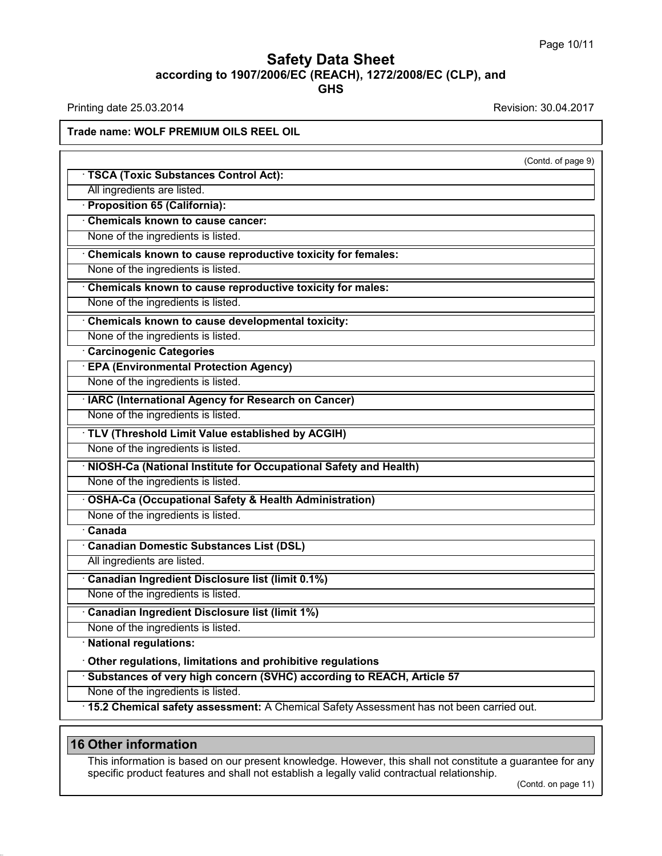# **Safety Data Sheet**<br> **according to 1907/2006/EC (REACH), 1272/2008/EC (CLP), and**<br> **GHS GHS Safety Data Sheet**<br>according to 1907/2006/EC (REACH), 1272/2008/EC (CLP), and<br>Printing date 25.03.2014<br>Revision: 30.04.2017<br>Frade name: WOLE PREMILIM OU S REEL OIL

## **Trade name: WOLF PREMIUM OILS REEL OIL**

| Trade name: WOLF PREMIUM OILS REEL OIL                                                                                                                                                                    |                     |
|-----------------------------------------------------------------------------------------------------------------------------------------------------------------------------------------------------------|---------------------|
|                                                                                                                                                                                                           | (Contd. of page 9)  |
| <b>TSCA (Toxic Substances Control Act):</b>                                                                                                                                                               |                     |
| All ingredients are listed.                                                                                                                                                                               |                     |
| · Proposition 65 (California):                                                                                                                                                                            |                     |
| <b>Chemicals known to cause cancer:</b>                                                                                                                                                                   |                     |
| None of the ingredients is listed.                                                                                                                                                                        |                     |
| Chemicals known to cause reproductive toxicity for females:                                                                                                                                               |                     |
| None of the ingredients is listed.                                                                                                                                                                        |                     |
| Chemicals known to cause reproductive toxicity for males:                                                                                                                                                 |                     |
| None of the ingredients is listed.                                                                                                                                                                        |                     |
| Chemicals known to cause developmental toxicity:                                                                                                                                                          |                     |
| None of the ingredients is listed.                                                                                                                                                                        |                     |
| <b>Carcinogenic Categories</b>                                                                                                                                                                            |                     |
| <b>EPA (Environmental Protection Agency)</b>                                                                                                                                                              |                     |
| None of the ingredients is listed.                                                                                                                                                                        |                     |
| <b>IARC (International Agency for Research on Cancer)</b>                                                                                                                                                 |                     |
| None of the ingredients is listed.                                                                                                                                                                        |                     |
| · TLV (Threshold Limit Value established by ACGIH)                                                                                                                                                        |                     |
| None of the ingredients is listed.                                                                                                                                                                        |                     |
| NIOSH-Ca (National Institute for Occupational Safety and Health)                                                                                                                                          |                     |
| None of the ingredients is listed.                                                                                                                                                                        |                     |
|                                                                                                                                                                                                           |                     |
| <b>OSHA-Ca (Occupational Safety &amp; Health Administration)</b>                                                                                                                                          |                     |
| None of the ingredients is listed.<br>$\overline{\cdot}$ Canada                                                                                                                                           |                     |
|                                                                                                                                                                                                           |                     |
| <b>Canadian Domestic Substances List (DSL)</b><br>All ingredients are listed.                                                                                                                             |                     |
|                                                                                                                                                                                                           |                     |
| Canadian Ingredient Disclosure list (limit 0.1%)                                                                                                                                                          |                     |
| None of the ingredients is listed.                                                                                                                                                                        |                     |
| <b>Canadian Ingredient Disclosure list (limit 1%)</b>                                                                                                                                                     |                     |
| None of the ingredients is listed.                                                                                                                                                                        |                     |
| · National regulations:                                                                                                                                                                                   |                     |
| Other regulations, limitations and prohibitive regulations                                                                                                                                                |                     |
| Substances of very high concern (SVHC) according to REACH, Article 57                                                                                                                                     |                     |
| None of the ingredients is listed.                                                                                                                                                                        |                     |
| 15.2 Chemical safety assessment: A Chemical Safety Assessment has not been carried out.                                                                                                                   |                     |
| <b>16 Other information</b>                                                                                                                                                                               |                     |
|                                                                                                                                                                                                           |                     |
| This information is based on our present knowledge. However, this shall not constitute a guarantee for any<br>specific product features and shall not establish a legally valid contractual relationship. |                     |
|                                                                                                                                                                                                           | (Contd. on page 11) |